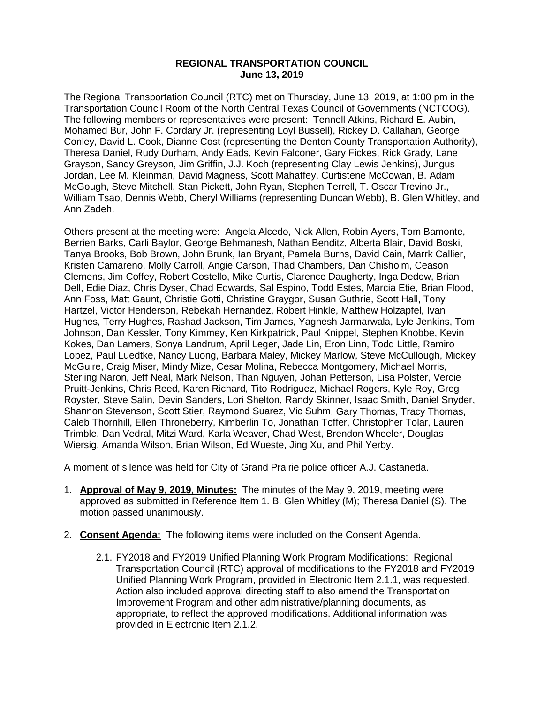## **REGIONAL TRANSPORTATION COUNCIL June 13, 2019**

The Regional Transportation Council (RTC) met on Thursday, June 13, 2019, at 1:00 pm in the Transportation Council Room of the North Central Texas Council of Governments (NCTCOG). The following members or representatives were present: Tennell Atkins, Richard E. Aubin, Mohamed Bur, John F. Cordary Jr. (representing Loyl Bussell), Rickey D. Callahan, George Conley, David L. Cook, Dianne Cost (representing the Denton County Transportation Authority), Theresa Daniel, Rudy Durham, Andy Eads, Kevin Falconer, Gary Fickes, Rick Grady, Lane Grayson, Sandy Greyson, Jim Griffin, J.J. Koch (representing Clay Lewis Jenkins), Jungus Jordan, Lee M. Kleinman, David Magness, Scott Mahaffey, Curtistene McCowan, B. Adam McGough, Steve Mitchell, Stan Pickett, John Ryan, Stephen Terrell, T. Oscar Trevino Jr., William Tsao, Dennis Webb, Cheryl Williams (representing Duncan Webb), B. Glen Whitley, and Ann Zadeh.

Others present at the meeting were: Angela Alcedo, Nick Allen, Robin Ayers, Tom Bamonte, Berrien Barks, Carli Baylor, George Behmanesh, Nathan Benditz, Alberta Blair, David Boski, Tanya Brooks, Bob Brown, John Brunk, Ian Bryant, Pamela Burns, David Cain, Marrk Callier, Kristen Camareno, Molly Carroll, Angie Carson, Thad Chambers, Dan Chisholm, Ceason Clemens, Jim Coffey, Robert Costello, Mike Curtis, Clarence Daugherty, Inga Dedow, Brian Dell, Edie Diaz, Chris Dyser, Chad Edwards, Sal Espino, Todd Estes, Marcia Etie, Brian Flood, Ann Foss, Matt Gaunt, Christie Gotti, Christine Graygor, Susan Guthrie, Scott Hall, Tony Hartzel, Victor Henderson, Rebekah Hernandez, Robert Hinkle, Matthew Holzapfel, Ivan Hughes, Terry Hughes, Rashad Jackson, Tim James, Yagnesh Jarmarwala, Lyle Jenkins, Tom Johnson, Dan Kessler, Tony Kimmey, Ken Kirkpatrick, Paul Knippel, Stephen Knobbe, Kevin Kokes, Dan Lamers, Sonya Landrum, April Leger, Jade Lin, Eron Linn, Todd Little, Ramiro Lopez, Paul Luedtke, Nancy Luong, Barbara Maley, Mickey Marlow, Steve McCullough, Mickey McGuire, Craig Miser, Mindy Mize, Cesar Molina, Rebecca Montgomery, Michael Morris, Sterling Naron, Jeff Neal, Mark Nelson, Than Nguyen, Johan Petterson, Lisa Polster, Vercie Pruitt-Jenkins, Chris Reed, Karen Richard, Tito Rodriguez, Michael Rogers, Kyle Roy, Greg Royster, Steve Salin, Devin Sanders, Lori Shelton, Randy Skinner, Isaac Smith, Daniel Snyder, Shannon Stevenson, Scott Stier, Raymond Suarez, Vic Suhm, Gary Thomas, Tracy Thomas, Caleb Thornhill, Ellen Throneberry, Kimberlin To, Jonathan Toffer, Christopher Tolar, Lauren Trimble, Dan Vedral, Mitzi Ward, Karla Weaver, Chad West, Brendon Wheeler, Douglas Wiersig, Amanda Wilson, Brian Wilson, Ed Wueste, Jing Xu, and Phil Yerby.

A moment of silence was held for City of Grand Prairie police officer A.J. Castaneda.

- 1. **Approval of May 9, 2019, Minutes:** The minutes of the May 9, 2019, meeting were approved as submitted in Reference Item 1. B. Glen Whitley (M); Theresa Daniel (S). The motion passed unanimously.
- 2. **Consent Agenda:** The following items were included on the Consent Agenda.
	- 2.1. FY2018 and FY2019 Unified Planning Work Program Modifications: Regional Transportation Council (RTC) approval of modifications to the FY2018 and FY2019 Unified Planning Work Program, provided in Electronic Item 2.1.1, was requested. Action also included approval directing staff to also amend the Transportation Improvement Program and other administrative/planning documents, as appropriate, to reflect the approved modifications. Additional information was provided in Electronic Item 2.1.2.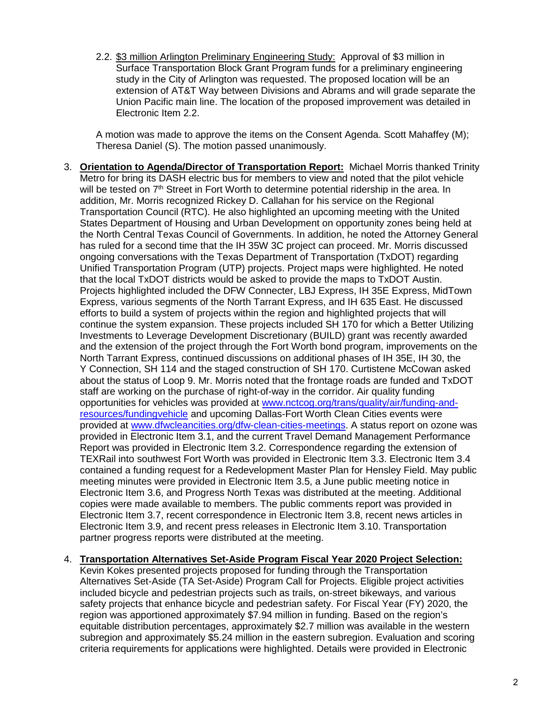2.2. \$3 million Arlington Preliminary Engineering Study: Approval of \$3 million in Surface Transportation Block Grant Program funds for a preliminary engineering study in the City of Arlington was requested. The proposed location will be an extension of AT&T Way between Divisions and Abrams and will grade separate the Union Pacific main line. The location of the proposed improvement was detailed in Electronic Item 2.2.

A motion was made to approve the items on the Consent Agenda. Scott Mahaffey (M); Theresa Daniel (S). The motion passed unanimously.

3. **Orientation to Agenda/Director of Transportation Report:** Michael Morris thanked Trinity Metro for bring its DASH electric bus for members to view and noted that the pilot vehicle will be tested on 7<sup>th</sup> Street in Fort Worth to determine potential ridership in the area. In addition, Mr. Morris recognized Rickey D. Callahan for his service on the Regional Transportation Council (RTC). He also highlighted an upcoming meeting with the United States Department of Housing and Urban Development on opportunity zones being held at the North Central Texas Council of Governments. In addition, he noted the Attorney General has ruled for a second time that the IH 35W 3C project can proceed. Mr. Morris discussed ongoing conversations with the Texas Department of Transportation (TxDOT) regarding Unified Transportation Program (UTP) projects. Project maps were highlighted. He noted that the local TxDOT districts would be asked to provide the maps to TxDOT Austin. Projects highlighted included the DFW Connecter, LBJ Express, IH 35E Express, MidTown Express, various segments of the North Tarrant Express, and IH 635 East. He discussed efforts to build a system of projects within the region and highlighted projects that will continue the system expansion. These projects included SH 170 for which a Better Utilizing Investments to Leverage Development Discretionary (BUILD) grant was recently awarded and the extension of the project through the Fort Worth bond program, improvements on the North Tarrant Express, continued discussions on additional phases of IH 35E, IH 30, the Y Connection, SH 114 and the staged construction of SH 170. Curtistene McCowan asked about the status of Loop 9. Mr. Morris noted that the frontage roads are funded and TxDOT staff are working on the purchase of right-of-way in the corridor. Air quality funding opportunities for vehicles was provided at [www.nctcog.org/trans/quality/air/funding-and](http://www.nctcog.org/trans/quality/air/funding-and-resources/fundingvehicle)[resources/fundingvehicle](http://www.nctcog.org/trans/quality/air/funding-and-resources/fundingvehicle) and upcoming Dallas-Fort Worth Clean Cities events were provided at [www.dfwcleancities.org/dfw-clean-cities-meetings.](http://www.dfwcleancities.org/dfw-clean-cities-meetings) A status report on ozone was provided in Electronic Item 3.1, and the current Travel Demand Management Performance Report was provided in Electronic Item 3.2. Correspondence regarding the extension of TEXRail into southwest Fort Worth was provided in Electronic Item 3.3. Electronic Item 3.4 contained a funding request for a Redevelopment Master Plan for Hensley Field. May public meeting minutes were provided in Electronic Item 3.5, a June public meeting notice in Electronic Item 3.6, and Progress North Texas was distributed at the meeting. Additional copies were made available to members. The public comments report was provided in Electronic Item 3.7, recent correspondence in Electronic Item 3.8, recent news articles in Electronic Item 3.9, and recent press releases in Electronic Item 3.10. Transportation partner progress reports were distributed at the meeting.

## 4. **Transportation Alternatives Set-Aside Program Fiscal Year 2020 Project Selection:**

Kevin Kokes presented projects proposed for funding through the Transportation Alternatives Set-Aside (TA Set-Aside) Program Call for Projects. Eligible project activities included bicycle and pedestrian projects such as trails, on-street bikeways, and various safety projects that enhance bicycle and pedestrian safety. For Fiscal Year (FY) 2020, the region was apportioned approximately \$7.94 million in funding. Based on the region's equitable distribution percentages, approximately \$2.7 million was available in the western subregion and approximately \$5.24 million in the eastern subregion. Evaluation and scoring criteria requirements for applications were highlighted. Details were provided in Electronic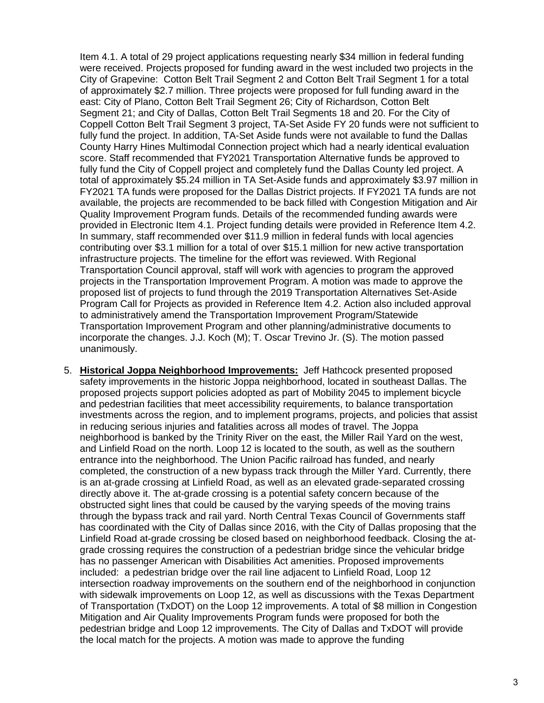Item 4.1. A total of 29 project applications requesting nearly \$34 million in federal funding were received. Projects proposed for funding award in the west included two projects in the City of Grapevine: Cotton Belt Trail Segment 2 and Cotton Belt Trail Segment 1 for a total of approximately \$2.7 million. Three projects were proposed for full funding award in the east: City of Plano, Cotton Belt Trail Segment 26; City of Richardson, Cotton Belt Segment 21; and City of Dallas, Cotton Belt Trail Segments 18 and 20. For the City of Coppell Cotton Belt Trail Segment 3 project, TA-Set Aside FY 20 funds were not sufficient to fully fund the project. In addition, TA-Set Aside funds were not available to fund the Dallas County Harry Hines Multimodal Connection project which had a nearly identical evaluation score. Staff recommended that FY2021 Transportation Alternative funds be approved to fully fund the City of Coppell project and completely fund the Dallas County led project. A total of approximately \$5.24 million in TA Set-Aside funds and approximately \$3.97 million in FY2021 TA funds were proposed for the Dallas District projects. If FY2021 TA funds are not available, the projects are recommended to be back filled with Congestion Mitigation and Air Quality Improvement Program funds. Details of the recommended funding awards were provided in Electronic Item 4.1. Project funding details were provided in Reference Item 4.2. In summary, staff recommended over \$11.9 million in federal funds with local agencies contributing over \$3.1 million for a total of over \$15.1 million for new active transportation infrastructure projects. The timeline for the effort was reviewed. With Regional Transportation Council approval, staff will work with agencies to program the approved projects in the Transportation Improvement Program. A motion was made to approve the proposed list of projects to fund through the 2019 Transportation Alternatives Set-Aside Program Call for Projects as provided in Reference Item 4.2. Action also included approval to administratively amend the Transportation Improvement Program/Statewide Transportation Improvement Program and other planning/administrative documents to incorporate the changes. J.J. Koch (M); T. Oscar Trevino Jr. (S). The motion passed unanimously.

5. **Historical Joppa Neighborhood Improvements:** Jeff Hathcock presented proposed safety improvements in the historic Joppa neighborhood, located in southeast Dallas. The proposed projects support policies adopted as part of Mobility 2045 to implement bicycle and pedestrian facilities that meet accessibility requirements, to balance transportation investments across the region, and to implement programs, projects, and policies that assist in reducing serious injuries and fatalities across all modes of travel. The Joppa neighborhood is banked by the Trinity River on the east, the Miller Rail Yard on the west, and Linfield Road on the north. Loop 12 is located to the south, as well as the southern entrance into the neighborhood. The Union Pacific railroad has funded, and nearly completed, the construction of a new bypass track through the Miller Yard. Currently, there is an at-grade crossing at Linfield Road, as well as an elevated grade-separated crossing directly above it. The at-grade crossing is a potential safety concern because of the obstructed sight lines that could be caused by the varying speeds of the moving trains through the bypass track and rail yard. North Central Texas Council of Governments staff has coordinated with the City of Dallas since 2016, with the City of Dallas proposing that the Linfield Road at-grade crossing be closed based on neighborhood feedback. Closing the atgrade crossing requires the construction of a pedestrian bridge since the vehicular bridge has no passenger American with Disabilities Act amenities. Proposed improvements included: a pedestrian bridge over the rail line adjacent to Linfield Road, Loop 12 intersection roadway improvements on the southern end of the neighborhood in conjunction with sidewalk improvements on Loop 12, as well as discussions with the Texas Department of Transportation (TxDOT) on the Loop 12 improvements. A total of \$8 million in Congestion Mitigation and Air Quality Improvements Program funds were proposed for both the pedestrian bridge and Loop 12 improvements. The City of Dallas and TxDOT will provide the local match for the projects. A motion was made to approve the funding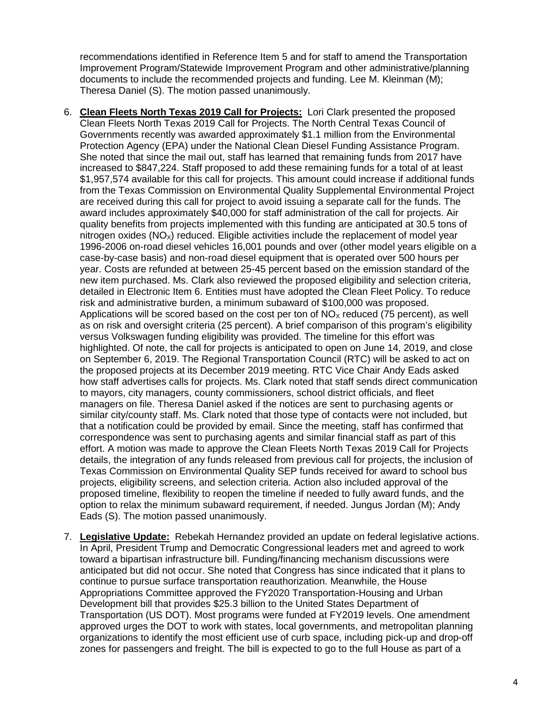recommendations identified in Reference Item 5 and for staff to amend the Transportation Improvement Program/Statewide Improvement Program and other administrative/planning documents to include the recommended projects and funding. Lee M. Kleinman (M); Theresa Daniel (S). The motion passed unanimously.

- 6. **Clean Fleets North Texas 2019 Call for Projects:** Lori Clark presented the proposed Clean Fleets North Texas 2019 Call for Projects. The North Central Texas Council of Governments recently was awarded approximately \$1.1 million from the Environmental Protection Agency (EPA) under the National Clean Diesel Funding Assistance Program. She noted that since the mail out, staff has learned that remaining funds from 2017 have increased to \$847,224. Staff proposed to add these remaining funds for a total of at least \$1,957,574 available for this call for projects. This amount could increase if additional funds from the Texas Commission on Environmental Quality Supplemental Environmental Project are received during this call for project to avoid issuing a separate call for the funds. The award includes approximately \$40,000 for staff administration of the call for projects. Air quality benefits from projects implemented with this funding are anticipated at 30.5 tons of nitrogen oxides ( $NQ_x$ ) reduced. Eligible activities include the replacement of model year 1996-2006 on-road diesel vehicles 16,001 pounds and over (other model years eligible on a case-by-case basis) and non-road diesel equipment that is operated over 500 hours per year. Costs are refunded at between 25-45 percent based on the emission standard of the new item purchased. Ms. Clark also reviewed the proposed eligibility and selection criteria, detailed in Electronic Item 6. Entities must have adopted the Clean Fleet Policy. To reduce risk and administrative burden, a minimum subaward of \$100,000 was proposed. Applications will be scored based on the cost per ton of  $NO<sub>x</sub>$  reduced (75 percent), as well as on risk and oversight criteria (25 percent). A brief comparison of this program's eligibility versus Volkswagen funding eligibility was provided. The timeline for this effort was highlighted. Of note, the call for projects is anticipated to open on June 14, 2019, and close on September 6, 2019. The Regional Transportation Council (RTC) will be asked to act on the proposed projects at its December 2019 meeting. RTC Vice Chair Andy Eads asked how staff advertises calls for projects. Ms. Clark noted that staff sends direct communication to mayors, city managers, county commissioners, school district officials, and fleet managers on file. Theresa Daniel asked if the notices are sent to purchasing agents or similar city/county staff. Ms. Clark noted that those type of contacts were not included, but that a notification could be provided by email. Since the meeting, staff has confirmed that correspondence was sent to purchasing agents and similar financial staff as part of this effort. A motion was made to approve the Clean Fleets North Texas 2019 Call for Projects details, the integration of any funds released from previous call for projects, the inclusion of Texas Commission on Environmental Quality SEP funds received for award to school bus projects, eligibility screens, and selection criteria. Action also included approval of the proposed timeline, flexibility to reopen the timeline if needed to fully award funds, and the option to relax the minimum subaward requirement, if needed. Jungus Jordan (M); Andy Eads (S). The motion passed unanimously.
- 7. **Legislative Update:** Rebekah Hernandez provided an update on federal legislative actions. In April, President Trump and Democratic Congressional leaders met and agreed to work toward a bipartisan infrastructure bill. Funding/financing mechanism discussions were anticipated but did not occur. She noted that Congress has since indicated that it plans to continue to pursue surface transportation reauthorization. Meanwhile, the House Appropriations Committee approved the FY2020 Transportation-Housing and Urban Development bill that provides \$25.3 billion to the United States Department of Transportation (US DOT). Most programs were funded at FY2019 levels. One amendment approved urges the DOT to work with states, local governments, and metropolitan planning organizations to identify the most efficient use of curb space, including pick-up and drop-off zones for passengers and freight. The bill is expected to go to the full House as part of a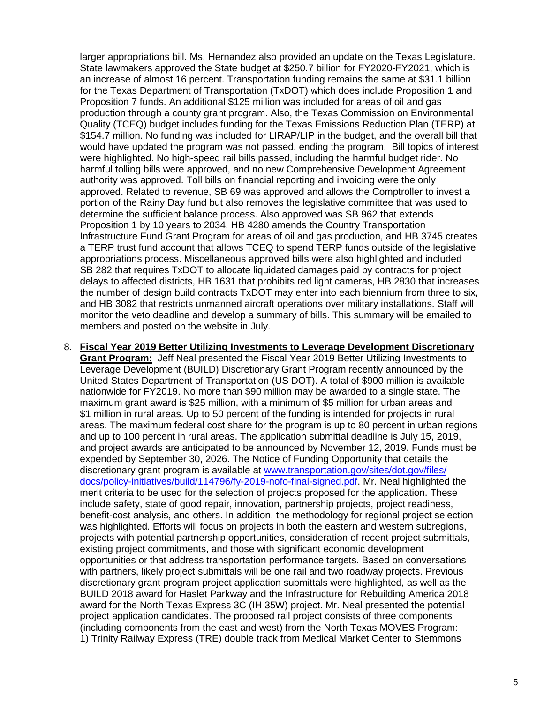larger appropriations bill. Ms. Hernandez also provided an update on the Texas Legislature. State lawmakers approved the State budget at \$250.7 billion for FY2020-FY2021, which is an increase of almost 16 percent. Transportation funding remains the same at \$31.1 billion for the Texas Department of Transportation (TxDOT) which does include Proposition 1 and Proposition 7 funds. An additional \$125 million was included for areas of oil and gas production through a county grant program. Also, the Texas Commission on Environmental Quality (TCEQ) budget includes funding for the Texas Emissions Reduction Plan (TERP) at \$154.7 million. No funding was included for LIRAP/LIP in the budget, and the overall bill that would have updated the program was not passed, ending the program. Bill topics of interest were highlighted. No high-speed rail bills passed, including the harmful budget rider. No harmful tolling bills were approved, and no new Comprehensive Development Agreement authority was approved. Toll bills on financial reporting and invoicing were the only approved. Related to revenue, SB 69 was approved and allows the Comptroller to invest a portion of the Rainy Day fund but also removes the legislative committee that was used to determine the sufficient balance process. Also approved was SB 962 that extends Proposition 1 by 10 years to 2034. HB 4280 amends the Country Transportation Infrastructure Fund Grant Program for areas of oil and gas production, and HB 3745 creates a TERP trust fund account that allows TCEQ to spend TERP funds outside of the legislative appropriations process. Miscellaneous approved bills were also highlighted and included SB 282 that requires TxDOT to allocate liquidated damages paid by contracts for project delays to affected districts, HB 1631 that prohibits red light cameras, HB 2830 that increases the number of design build contracts TxDOT may enter into each biennium from three to six, and HB 3082 that restricts unmanned aircraft operations over military installations. Staff will monitor the veto deadline and develop a summary of bills. This summary will be emailed to members and posted on the website in July.

8. **Fiscal Year 2019 Better Utilizing Investments to Leverage Development Discretionary Grant Program:** Jeff Neal presented the Fiscal Year 2019 Better Utilizing Investments to Leverage Development (BUILD) Discretionary Grant Program recently announced by the United States Department of Transportation (US DOT). A total of \$900 million is available nationwide for FY2019. No more than \$90 million may be awarded to a single state. The maximum grant award is \$25 million, with a minimum of \$5 million for urban areas and \$1 million in rural areas. Up to 50 percent of the funding is intended for projects in rural areas. The maximum federal cost share for the program is up to 80 percent in urban regions and up to 100 percent in rural areas. The application submittal deadline is July 15, 2019, and project awards are anticipated to be announced by November 12, 2019. Funds must be expended by September 30, 2026. The Notice of Funding Opportunity that details the discretionary grant program is available at [www.transportation.gov/sites/dot.gov/files/](http://www.transportation.gov/sites/dot.gov/files/docs/policy-initiatives/build/114796/fy-2019-nofo-final-signed.pdf) [docs/policy-initiatives/build/114796/fy-2019-nofo-final-signed.pdf.](http://www.transportation.gov/sites/dot.gov/files/docs/policy-initiatives/build/114796/fy-2019-nofo-final-signed.pdf) Mr. Neal highlighted the merit criteria to be used for the selection of projects proposed for the application. These include safety, state of good repair, innovation, partnership projects, project readiness, benefit-cost analysis, and others. In addition, the methodology for regional project selection was highlighted. Efforts will focus on projects in both the eastern and western subregions, projects with potential partnership opportunities, consideration of recent project submittals, existing project commitments, and those with significant economic development opportunities or that address transportation performance targets. Based on conversations with partners, likely project submittals will be one rail and two roadway projects. Previous discretionary grant program project application submittals were highlighted, as well as the BUILD 2018 award for Haslet Parkway and the Infrastructure for Rebuilding America 2018 award for the North Texas Express 3C (IH 35W) project. Mr. Neal presented the potential project application candidates. The proposed rail project consists of three components (including components from the east and west) from the North Texas MOVES Program: 1) Trinity Railway Express (TRE) double track from Medical Market Center to Stemmons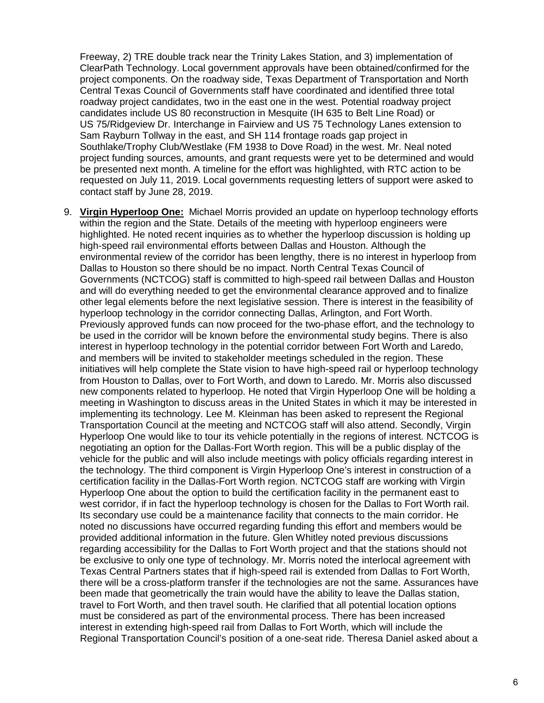Freeway, 2) TRE double track near the Trinity Lakes Station, and 3) implementation of ClearPath Technology. Local government approvals have been obtained/confirmed for the project components. On the roadway side, Texas Department of Transportation and North Central Texas Council of Governments staff have coordinated and identified three total roadway project candidates, two in the east one in the west. Potential roadway project candidates include US 80 reconstruction in Mesquite (IH 635 to Belt Line Road) or US 75/Ridgeview Dr. Interchange in Fairview and US 75 Technology Lanes extension to Sam Rayburn Tollway in the east, and SH 114 frontage roads gap project in Southlake/Trophy Club/Westlake (FM 1938 to Dove Road) in the west. Mr. Neal noted project funding sources, amounts, and grant requests were yet to be determined and would be presented next month. A timeline for the effort was highlighted, with RTC action to be requested on July 11, 2019. Local governments requesting letters of support were asked to contact staff by June 28, 2019.

9. **Virgin Hyperloop One:** Michael Morris provided an update on hyperloop technology efforts within the region and the State. Details of the meeting with hyperloop engineers were highlighted. He noted recent inquiries as to whether the hyperloop discussion is holding up high-speed rail environmental efforts between Dallas and Houston. Although the environmental review of the corridor has been lengthy, there is no interest in hyperloop from Dallas to Houston so there should be no impact. North Central Texas Council of Governments (NCTCOG) staff is committed to high-speed rail between Dallas and Houston and will do everything needed to get the environmental clearance approved and to finalize other legal elements before the next legislative session. There is interest in the feasibility of hyperloop technology in the corridor connecting Dallas, Arlington, and Fort Worth. Previously approved funds can now proceed for the two-phase effort, and the technology to be used in the corridor will be known before the environmental study begins. There is also interest in hyperloop technology in the potential corridor between Fort Worth and Laredo, and members will be invited to stakeholder meetings scheduled in the region. These initiatives will help complete the State vision to have high-speed rail or hyperloop technology from Houston to Dallas, over to Fort Worth, and down to Laredo. Mr. Morris also discussed new components related to hyperloop. He noted that Virgin Hyperloop One will be holding a meeting in Washington to discuss areas in the United States in which it may be interested in implementing its technology. Lee M. Kleinman has been asked to represent the Regional Transportation Council at the meeting and NCTCOG staff will also attend. Secondly, Virgin Hyperloop One would like to tour its vehicle potentially in the regions of interest. NCTCOG is negotiating an option for the Dallas-Fort Worth region. This will be a public display of the vehicle for the public and will also include meetings with policy officials regarding interest in the technology. The third component is Virgin Hyperloop One's interest in construction of a certification facility in the Dallas-Fort Worth region. NCTCOG staff are working with Virgin Hyperloop One about the option to build the certification facility in the permanent east to west corridor, if in fact the hyperloop technology is chosen for the Dallas to Fort Worth rail. Its secondary use could be a maintenance facility that connects to the main corridor. He noted no discussions have occurred regarding funding this effort and members would be provided additional information in the future. Glen Whitley noted previous discussions regarding accessibility for the Dallas to Fort Worth project and that the stations should not be exclusive to only one type of technology. Mr. Morris noted the interlocal agreement with Texas Central Partners states that if high-speed rail is extended from Dallas to Fort Worth, there will be a cross-platform transfer if the technologies are not the same. Assurances have been made that geometrically the train would have the ability to leave the Dallas station, travel to Fort Worth, and then travel south. He clarified that all potential location options must be considered as part of the environmental process. There has been increased interest in extending high-speed rail from Dallas to Fort Worth, which will include the Regional Transportation Council's position of a one-seat ride. Theresa Daniel asked about a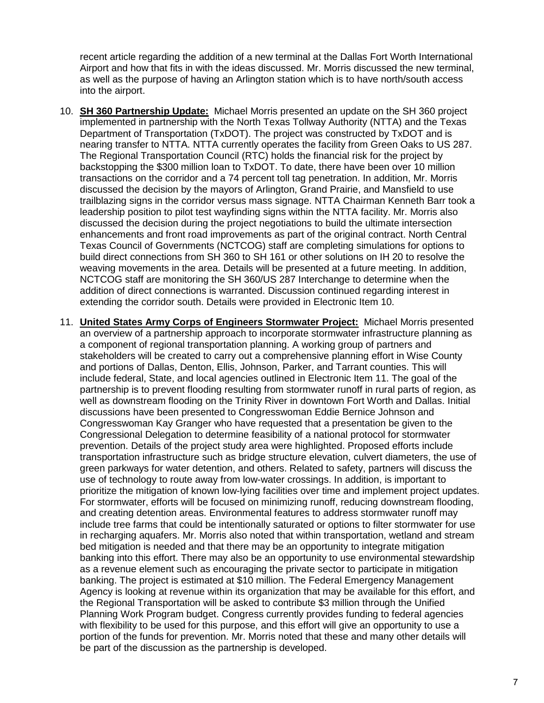recent article regarding the addition of a new terminal at the Dallas Fort Worth International Airport and how that fits in with the ideas discussed. Mr. Morris discussed the new terminal, as well as the purpose of having an Arlington station which is to have north/south access into the airport.

- 10. **SH 360 Partnership Update:** Michael Morris presented an update on the SH 360 project implemented in partnership with the North Texas Tollway Authority (NTTA) and the Texas Department of Transportation (TxDOT). The project was constructed by TxDOT and is nearing transfer to NTTA. NTTA currently operates the facility from Green Oaks to US 287. The Regional Transportation Council (RTC) holds the financial risk for the project by backstopping the \$300 million loan to TxDOT. To date, there have been over 10 million transactions on the corridor and a 74 percent toll tag penetration. In addition, Mr. Morris discussed the decision by the mayors of Arlington, Grand Prairie, and Mansfield to use trailblazing signs in the corridor versus mass signage. NTTA Chairman Kenneth Barr took a leadership position to pilot test wayfinding signs within the NTTA facility. Mr. Morris also discussed the decision during the project negotiations to build the ultimate intersection enhancements and front road improvements as part of the original contract. North Central Texas Council of Governments (NCTCOG) staff are completing simulations for options to build direct connections from SH 360 to SH 161 or other solutions on IH 20 to resolve the weaving movements in the area. Details will be presented at a future meeting. In addition, NCTCOG staff are monitoring the SH 360/US 287 Interchange to determine when the addition of direct connections is warranted. Discussion continued regarding interest in extending the corridor south. Details were provided in Electronic Item 10.
- 11. **United States Army Corps of Engineers Stormwater Project:** Michael Morris presented an overview of a partnership approach to incorporate stormwater infrastructure planning as a component of regional transportation planning. A working group of partners and stakeholders will be created to carry out a comprehensive planning effort in Wise County and portions of Dallas, Denton, Ellis, Johnson, Parker, and Tarrant counties. This will include federal, State, and local agencies outlined in Electronic Item 11. The goal of the partnership is to prevent flooding resulting from stormwater runoff in rural parts of region, as well as downstream flooding on the Trinity River in downtown Fort Worth and Dallas. Initial discussions have been presented to Congresswoman Eddie Bernice Johnson and Congresswoman Kay Granger who have requested that a presentation be given to the Congressional Delegation to determine feasibility of a national protocol for stormwater prevention. Details of the project study area were highlighted. Proposed efforts include transportation infrastructure such as bridge structure elevation, culvert diameters, the use of green parkways for water detention, and others. Related to safety, partners will discuss the use of technology to route away from low-water crossings. In addition, is important to prioritize the mitigation of known low-lying facilities over time and implement project updates. For stormwater, efforts will be focused on minimizing runoff, reducing downstream flooding, and creating detention areas. Environmental features to address stormwater runoff may include tree farms that could be intentionally saturated or options to filter stormwater for use in recharging aquafers. Mr. Morris also noted that within transportation, wetland and stream bed mitigation is needed and that there may be an opportunity to integrate mitigation banking into this effort. There may also be an opportunity to use environmental stewardship as a revenue element such as encouraging the private sector to participate in mitigation banking. The project is estimated at \$10 million. The Federal Emergency Management Agency is looking at revenue within its organization that may be available for this effort, and the Regional Transportation will be asked to contribute \$3 million through the Unified Planning Work Program budget. Congress currently provides funding to federal agencies with flexibility to be used for this purpose, and this effort will give an opportunity to use a portion of the funds for prevention. Mr. Morris noted that these and many other details will be part of the discussion as the partnership is developed.